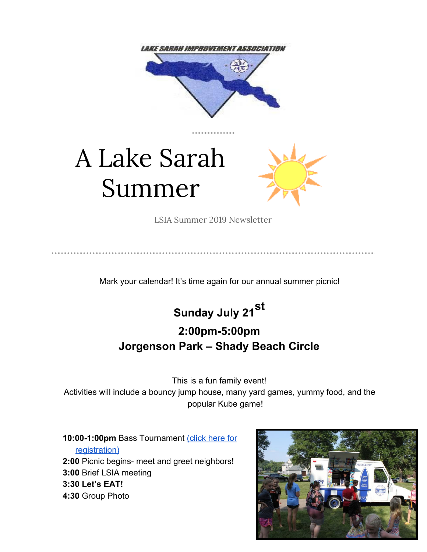

# A Lake Sarah Summer



LSIA Summer 2019 Newsletter

Mark your calendar! It's time again for our annual summer picnic!



# **2:00pm-5:00pm Jorgenson Park – Shady Beach Circle**

This is a fun family event!

Activities will include a bouncy jump house, many yard games, yummy food, and the popular Kube game!

**10:00-1:00pm** Bass Tournament [\(click here for](https://gallery.mailchimp.com/cb85c97791874bbd28688d102/files/e3d76334-159a-4d6d-9b8b-0d5b68cfc635/2019_BassTournamentEntryForm.pdf) [registration\)](https://gallery.mailchimp.com/cb85c97791874bbd28688d102/files/e3d76334-159a-4d6d-9b8b-0d5b68cfc635/2019_BassTournamentEntryForm.pdf) **2:00** Picnic begins- meet and greet neighbors! **3:00** Brief LSIA meeting **3:30 Let's EAT! 4:30** Group Photo

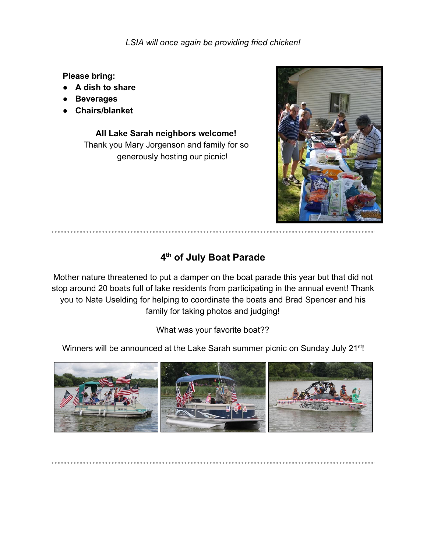*LSIA will once again be providing fried chicken!*

**Please bring:**

- **A dish to share**
- **● Beverages**
- **Chairs/blanket**

**All Lake Sarah neighbors welcome!** Thank you Mary Jorgenson and family for so generously hosting our picnic!



### **4 th of July Boat Parade**

Mother nature threatened to put a damper on the boat parade this year but that did not stop around 20 boats full of lake residents from participating in the annual event! Thank you to Nate Uselding for helping to coordinate the boats and Brad Spencer and his family for taking photos and judging!

What was your favorite boat??

Winners will be announced at the Lake Sarah summer picnic on Sunday July 21<sup>st</sup>!

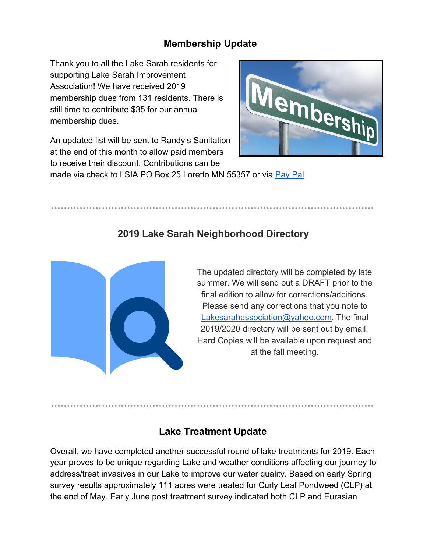#### **Membership Update**

Thank you to all the Lake Sarah residents for supporting Lake Sarah Improvement Association! We have received 2019 membership dues from 131 residents. There is still time to contribute \$35 for our annual membership dues.



An updated list will be sent to Randy's Sanitation at the end of this month to allow paid members to receive their discount. Contributions can be

### made via check to LSIA PO Box 25 Loretto MN 55357 or via [Pay Pal](http://lakesarah.com/lakesarahassociation/lsiamembershipinfo.html)

#### **2019 Lake Sarah Neighborhood Directory**



The updated directory will be completed by late summer. We will send out a DRAFT prior to the final edition to allow for corrections/additions. Please send any corrections that you note to [Lakesarahassociation@yahoo.com.](mailto:Lakesarahassociation@yahoo.com) The final 2019/2020 directory will be sent out by email. Hard Copies will be available upon request and at the fall meeting.

#### **Lake Treatment Update**

Overall, we have completed another successful round of lake treatments for 2019. Each year proves to be unique regarding Lake and weather conditions affecting our journey to address/treat invasives in our Lake to improve our water quality. Based on early Spring survey results approximately 111 acres were treated for Curly Leaf Pondweed (CLP) at the end of May. Early June post treatment survey indicated both CLP and Eurasian